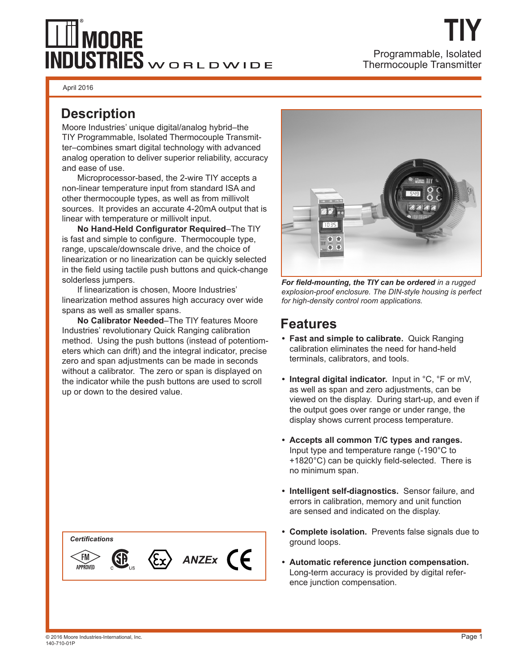# $\perp \!\! \perp \!\! \perp$  moore  $\overline{\text{INDUSTRIES}}$ WORLDWIDE

April 2016

### **Description**

Moore Industries' unique digital/analog hybrid–the TIY Programmable, Isolated Thermocouple Transmitter–combines smart digital technology with advanced analog operation to deliver superior reliability, accuracy and ease of use.

 Microprocessor-based, the 2-wire TIY accepts a non-linear temperature input from standard ISA and other thermocouple types, as well as from millivolt sources. It provides an accurate 4-20mA output that is linear with temperature or millivolt input.

**No Hand-Held Configurator Required–The TIY** is fast and simple to configure. Thermocouple type, range, upscale/downscale drive, and the choice of linearization or no linearization can be quickly selected in the field using tactile push buttons and quick-change solderless jumpers.

 If linearization is chosen, Moore Industries' linearization method assures high accuracy over wide spans as well as smaller spans.

**No Calibrator Needed**–The TIY features Moore Industries' revolutionary Quick Ranging calibration method. Using the push buttons (instead of potentiometers which can drift) and the integral indicator, precise zero and span adjustments can be made in seconds without a calibrator. The zero or span is displayed on the indicator while the push buttons are used to scroll up or down to the desired value.







For field-mounting, the TIY can be ordered in a rugged *explosion-proof enclosure. The DIN-style housing is perfect for high-density control room applications.*

## **Features**

- **Fast and simple to calibrate.** Quick Ranging calibration eliminates the need for hand-held terminals, calibrators, and tools.
- **Integral digital indicator.** Input in °C, °F or mV, as well as span and zero adjustments, can be viewed on the display. During start-up, and even if the output goes over range or under range, the display shows current process temperature.
- **Accepts all common T/C types and ranges.**  Input type and temperature range (-190°C to +1820°C) can be quickly field-selected. There is no minimum span.
- **Intelligent self-diagnostics.** Sensor failure, and errors in calibration, memory and unit function are sensed and indicated on the display.
- **Complete isolation.** Prevents false signals due to ground loops.
- **Automatic reference junction compensation.** Long-term accuracy is provided by digital refer ence junction compensation.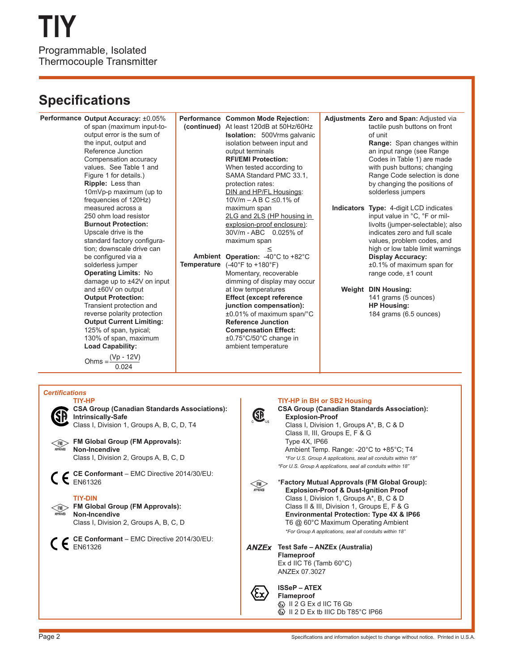## **Specifications**

**Performance Output Accuracy: ±0.05% Performance Common Mode Rejection:** Adjustments Zero and Span: Adjusted via of span (maximum input-totactile push buttons on front At least 120dB at 50Hz/60Hz **(continued) Isolation:** 500Vrms galvanic output error is the sum of of unit the input, output and isolation between input and **Range:** Span changes within Reference Junction output terminals an input range (see Range Compensation accuracy **RFI/EMI Protection:** Codes in Table 1) are made values. See Table 1 and When tested according to with push buttons; changing Figure 1 for details.) SAMA Standard PMC 33.1, Range Code selection is done **Ripple:** Less than protection rates: by changing the positions of 10mVp-p maximum (up to DIN and HP/FL Housings: solderless jumpers  $10$ V/m – A B C  $\leq$ 0.1% of frequencies of 120Hz) measured across a maximum span **Indicators Type:** 4-digit LCD indicates 250 ohm load resistor 2LG and 2LS (HP housing in input value in °C, °F or mil-**Burnout Protection:** livolts (jumper-selectable); also explosion-proof enclosure): 30V/m - ABC 0.025% of Upscale drive is the indicates zero and full scale standard factory configuramaximum span values, problem codes, and tion; downscale drive can < high or low table limit warnings be configured via a **Operation:** -40°C to +82°C **Ambient Display Accuracy:** solderless jumper Temperature (-40°F to +180°F) ±0.1% of maximum span for **Operating Limits:** No Momentary, recoverable range code, ±1 count damage up to ±42V on input dimming of display may occur and ±60V on output at low temperatures **DIN Housing: Weight Output Protection: Effect (except reference**  141 grams (5 ounces) Transient protection and **junction compensation): HP Housing:** reverse polarity protection ±0.01% of maximum span/°C 184 grams (6.5 ounces) **Output Current Limiting: Reference Junction**  125% of span, typical; **Compensation Effect:** 130% of span, maximum ±0.75°C/50°C change in **Load Capability:**  ambient temperature  $Ohms = \frac{(Vp - 12V)}{}$ 0.024 *Certifi cations* **TIY-HP TIY-HP in BH or SB2 Housing CSA Group (Canadian Standards Associations): CSA Group (Canadian Standards Association):** GP. **Intrinsically-Safe Explosion-Proof** Class I, Division 1, Groups A\*, B, C & D Class I, Division 1, Groups A, B, C, D, T4 Class II, III, Groups E, F & G

**FM Global Group (FM Approvals): Non-Incendive** Class I, Division 2, Groups A, B, C, D

**CE Conformant** – EMC Directive 2014/30/EU: EN61326

#### **TIY-DIN**

**Non-Incendive**

**FM Global Group (FM Approvals):**

**CE Conformant** – EMC Directive 2014/30/EU:  $C \epsilon$ <sup>CE COM</sup>

Class I, Division 2, Groups A, B, C, D

 Type 4X, IP66 Ambient Temp. Range: -20°C to +85°C; T4  *\*For U.S. Group A applications, seal all conduits within 18" \*For U.S. Group A applications, seal all conduits within 18"* \***Factory Mutual Approvals (FM Global Group):**  $\left\langle \widehat{\mathsf{FM}} \right\rangle$  **Explosion-Proof & Dust-Ignition Proof** Class I, Division 1, Groups A\*, B, C & D Class II & III, Division 1, Groups E, F & G  **Environmental Protection: Type 4X & IP66** T6 @ 60°C Maximum Operating Ambient  *\*For Group A applications, seal all conduits within 18"* **Test Safe – ANZEx (Australia) Flameproof** Ex d IIC T6 (Tamb 60°C) ANZEx 07.3027 **ISSeP – ATEX**  $\bf \Omega$ **Flameproof**  $\textcircled{k}\right)$  II 2 G Ex d IIC T6 Gb **E** II 2 D Ex tb IIIC Db T85°C IP66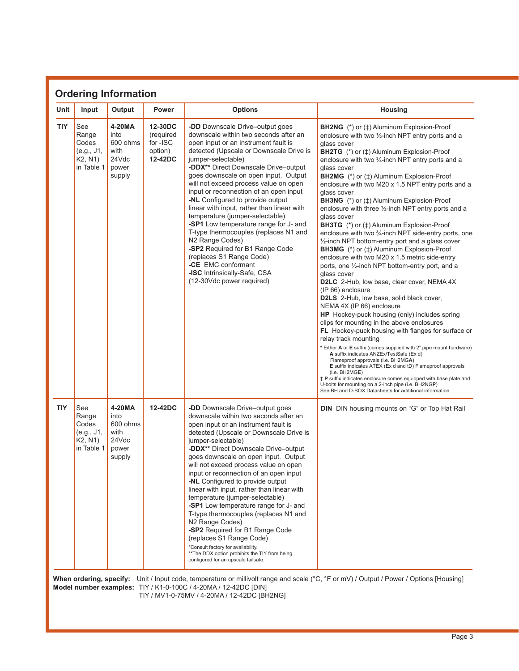| Unit       | Input                                                        | Output                                                         | <b>Power</b>                                           | <b>Options</b>                                                                                                                                                                                                                                                                                                                                                                                                                                                                                                                                                                                                                                                                                                                                                               | <b>Housing</b>                                                                                                                                                                                                                                                                                                                                                                                                                                                                                                                                                                                                                                                                                                                                                                                                                                                                                                                                                                                                                                                                                                                                                                                                                                                                                                                                                                                                                                                                                                                                                                                                                                                                              |  |  |
|------------|--------------------------------------------------------------|----------------------------------------------------------------|--------------------------------------------------------|------------------------------------------------------------------------------------------------------------------------------------------------------------------------------------------------------------------------------------------------------------------------------------------------------------------------------------------------------------------------------------------------------------------------------------------------------------------------------------------------------------------------------------------------------------------------------------------------------------------------------------------------------------------------------------------------------------------------------------------------------------------------------|---------------------------------------------------------------------------------------------------------------------------------------------------------------------------------------------------------------------------------------------------------------------------------------------------------------------------------------------------------------------------------------------------------------------------------------------------------------------------------------------------------------------------------------------------------------------------------------------------------------------------------------------------------------------------------------------------------------------------------------------------------------------------------------------------------------------------------------------------------------------------------------------------------------------------------------------------------------------------------------------------------------------------------------------------------------------------------------------------------------------------------------------------------------------------------------------------------------------------------------------------------------------------------------------------------------------------------------------------------------------------------------------------------------------------------------------------------------------------------------------------------------------------------------------------------------------------------------------------------------------------------------------------------------------------------------------|--|--|
| <b>TIY</b> | See<br>Range<br>Codes<br>(e.g., J1,<br>K2, N1)<br>in Table 1 | 4-20MA<br>into<br>600 ohms<br>with<br>24Vdc<br>power<br>supply | 12-30DC<br>(required<br>for -ISC<br>option)<br>12-42DC | -DD Downscale Drive-output goes<br>downscale within two seconds after an<br>open input or an instrument fault is<br>detected (Upscale or Downscale Drive is<br>jumper-selectable)<br>-DDX** Direct Downscale Drive-output<br>goes downscale on open input. Output<br>will not exceed process value on open<br>input or reconnection of an open input<br>-NL Configured to provide output<br>linear with input, rather than linear with<br>temperature (jumper-selectable)<br>-SP1 Low temperature range for J- and<br>T-type thermocouples (replaces N1 and<br>N2 Range Codes)<br>-SP2 Required for B1 Range Code<br>(replaces S1 Range Code)<br>-CE EMC conformant<br>-ISC Intrinsically-Safe, CSA<br>(12-30Vdc power required)                                             | <b>BH2NG</b> (*) or ( $\uparrow$ ) Aluminum Explosion-Proof<br>enclosure with two $\frac{1}{2}$ -inch NPT entry ports and a<br>glass cover<br><b>BH2TG</b> (*) or ( $\uparrow$ ) Aluminum Explosion-Proof<br>enclosure with two 3/4-inch NPT entry ports and a<br>glass cover<br><b>BH2MG</b> (*) or ( $\uparrow$ ) Aluminum Explosion-Proof<br>enclosure with two M20 x 1.5 NPT entry ports and a<br>glass cover<br><b>BH3NG</b> (*) or ( $\uparrow$ ) Aluminum Explosion-Proof<br>enclosure with three 1/2-inch NPT entry ports and a<br>glass cover<br><b>BH3TG</b> (*) or ( $\uparrow$ ) Aluminum Explosion-Proof<br>enclosure with two 3/4-inch NPT side-entry ports, one<br>1/2-inch NPT bottom-entry port and a glass cover<br><b>BH3MG</b> (*) or ( $\uparrow$ ) Aluminum Explosion-Proof<br>enclosure with two M20 x 1.5 metric side-entry<br>ports, one 1/2-inch NPT bottom-entry port, and a<br>glass cover<br><b>D2LC</b> 2-Hub, low base, clear cover, NEMA 4X<br>(IP 66) enclosure<br>D2LS 2-Hub, low base, solid black cover,<br>NEMA 4X (IP 66) enclosure<br>HP Hockey-puck housing (only) includes spring<br>clips for mounting in the above enclosures<br>FL Hockey-puck housing with flanges for surface or<br>relay track mounting<br>* Either A or E suffix (comes supplied with 2" pipe mount hardware)<br>A suffix indicates ANZEx/TestSafe (Ex d)<br>Flameproof approvals (i.e. BH2MGA)<br>E suffix indicates ATEX (Ex d and tD) Flameproof approvals<br>(i.e. BH2MGE)<br><b>‡P</b> suffix indicates enclosure comes equipped with base plate and<br>U-bolts for mounting on a 2-inch pipe (i.e. BH2NGP)<br>See BH and D-BOX Datasheets for additional information. |  |  |
| <b>TIY</b> | See<br>Range<br>Codes<br>(e.g., J1,<br>K2, N1)<br>in Table 1 | 4-20MA<br>into<br>600 ohms<br>with<br>24Vdc<br>power<br>supply | 12-42DC                                                | -DD Downscale Drive-output goes<br>downscale within two seconds after an<br>open input or an instrument fault is<br>detected (Upscale or Downscale Drive is<br>jumper-selectable)<br>-DDX** Direct Downscale Drive-output<br>goes downscale on open input. Output<br>will not exceed process value on open<br>input or reconnection of an open input<br>-NL Configured to provide output<br>linear with input, rather than linear with<br>temperature (jumper-selectable)<br>-SP1 Low temperature range for J- and<br>T-type thermocouples (replaces N1 and<br>N2 Range Codes)<br>-SP2 Required for B1 Range Code<br>(replaces S1 Range Code)<br>*Consult factory for availability.<br>** The DDX option prohibits the TIY from being<br>configured for an upscale failsafe. | <b>DIN</b> DIN housing mounts on "G" or Top Hat Rail                                                                                                                                                                                                                                                                                                                                                                                                                                                                                                                                                                                                                                                                                                                                                                                                                                                                                                                                                                                                                                                                                                                                                                                                                                                                                                                                                                                                                                                                                                                                                                                                                                        |  |  |

### TIY / MV1-0-75MV / 4-20MA / 12-42DC [BH2NG]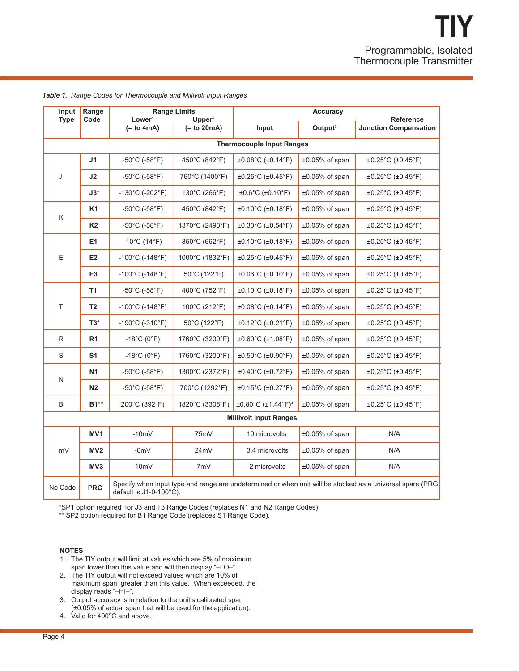| Input                            | Range                     | Lower <sup>1</sup>                                                                                                                             | <b>Range Limits</b><br>Upper <sup>2</sup> | <b>Accuracy</b>                              |                     |                                                  |  |  |  |  |  |
|----------------------------------|---------------------------|------------------------------------------------------------------------------------------------------------------------------------------------|-------------------------------------------|----------------------------------------------|---------------------|--------------------------------------------------|--|--|--|--|--|
| <b>Type</b>                      | Code                      | $(= to 4mA)$                                                                                                                                   | $(= to 20mA)$                             | Input                                        | Output <sup>3</sup> | <b>Reference</b><br><b>Junction Compensation</b> |  |  |  |  |  |
| <b>Thermocouple Input Ranges</b> |                           |                                                                                                                                                |                                           |                                              |                     |                                                  |  |  |  |  |  |
| J                                | J <sub>1</sub>            | $-50^{\circ}$ C (-58 $^{\circ}$ F)                                                                                                             | 450°C (842°F)                             | ±0.08°C (±0.14°F)                            | ±0.05% of span      | ±0.25°C (±0.45°F)                                |  |  |  |  |  |
|                                  | J2                        | $-50^{\circ}$ C (-58 $^{\circ}$ F)                                                                                                             | 760°C (1400°F)                            | $±0.25^{\circ}C(±0.45^{\circ}F)$             | ±0.05% of span      | ±0.25°C (±0.45°F)                                |  |  |  |  |  |
|                                  | $J3^*$                    | $-130^{\circ}$ C (-202 $^{\circ}$ F)                                                                                                           | 130°C (266°F)                             | $±0.6^{\circ}C$ (±0.10 $^{\circ}F$ )         | $±0.05\%$ of span   | ±0.25°C (±0.45°F)                                |  |  |  |  |  |
| Κ                                | K <sub>1</sub>            | $-50^{\circ}$ C (-58 $^{\circ}$ F)                                                                                                             | 450°C (842°F)                             | $±0.10°C$ (±0.18°F)                          | ±0.05% of span      | ±0.25°C (±0.45°F)                                |  |  |  |  |  |
|                                  | <b>K2</b>                 | $-50^{\circ}$ C ( $-58^{\circ}$ F)                                                                                                             | 1370°C (2498°F)                           | $±0.30^{\circ}C(±0.54^{\circ}F)$             | $±0.05%$ of span    | $±0.25^{\circ}$ C (±0.45 $^{\circ}$ F)           |  |  |  |  |  |
|                                  | E <sub>1</sub>            | $-10^{\circ}$ C (14 $^{\circ}$ F)                                                                                                              | 350°C (662°F)                             | $±0.10°C$ (±0.18°F)                          | $±0.05\%$ of span   | ±0.25°C (±0.45°F)                                |  |  |  |  |  |
| E                                | E <sub>2</sub>            | $-100^{\circ}$ C (-148 $^{\circ}$ F)                                                                                                           | 1000°C (1832°F)                           | $±0.25^{\circ}C(±0.45^{\circ}F)$             | ±0.05% of span      | ±0.25°C (±0.45°F)                                |  |  |  |  |  |
|                                  | E <sub>3</sub>            | $-100^{\circ}$ C (-148 $^{\circ}$ F)                                                                                                           | $50^{\circ}$ C (122 $^{\circ}$ F)         | $±0.06^{\circ}C(±0.10^{\circ}F)$             | $±0.05\%$ of span   | ±0.25°C (±0.45°F)                                |  |  |  |  |  |
|                                  | T <sub>1</sub>            | $-50^{\circ}$ C ( $-58^{\circ}$ F)                                                                                                             | 400°C (752°F)                             | $±0.10°C$ (±0.18°F)                          | ±0.05% of span      | ±0.25°C (±0.45°F)                                |  |  |  |  |  |
| T                                | T <sub>2</sub>            | $-100^{\circ}$ C (-148 $^{\circ}$ F)                                                                                                           | 100°C (212°F)                             | $\pm 0.08^{\circ}$ C ( $\pm 0.14^{\circ}$ F) | $±0.05\%$ of span   | $\pm 0.25^{\circ}$ C ( $\pm 0.45^{\circ}$ F)     |  |  |  |  |  |
|                                  | $T3*$                     | $-190^{\circ}$ C (-310 $^{\circ}$ F)                                                                                                           | 50°C (122°F)                              | $\pm 0.12^{\circ}$ C ( $\pm 0.21^{\circ}$ F) | ±0.05% of span      | ±0.25°C (±0.45°F)                                |  |  |  |  |  |
| $\mathsf{R}$                     | R <sub>1</sub>            | $-18^{\circ}$ C (0 $^{\circ}$ F)                                                                                                               | 1760°C (3200°F)                           | $±0.60^{\circ}C$ (±1.08 $^{\circ}F$ )        | $±0.05%$ of span    | $\pm 0.25^{\circ}$ C ( $\pm 0.45^{\circ}$ F)     |  |  |  |  |  |
| S                                | S <sub>1</sub>            | $-18^{\circ}$ C (0 $^{\circ}$ F)                                                                                                               | 1760°C (3200°F)                           | $±0.50^{\circ}$ C (±0.90 $^{\circ}$ F)       | $±0.05%$ of span    | ±0.25°C (±0.45°F)                                |  |  |  |  |  |
|                                  | N <sub>1</sub>            | $-50^{\circ}$ C (-58 $^{\circ}$ F)                                                                                                             | 1300°C (2372°F)                           | $±0.40^{\circ}C(±0.72^{\circ}F)$             | ±0.05% of span      | ±0.25°C (±0.45°F)                                |  |  |  |  |  |
| ${\sf N}$                        | N <sub>2</sub>            | $-50^{\circ}$ C ( $-58^{\circ}$ F)                                                                                                             | 700°C (1292°F)                            | $±0.15^{\circ}C(±0.27^{\circ}F)$             | $±0.05\%$ of span   | ±0.25°C (±0.45°F)                                |  |  |  |  |  |
| B                                | <b>B1**</b>               | 200°C (392°F)                                                                                                                                  | 1820°C (3308°F)                           | ±0.80°C (±1.44°F) <sup>4</sup>               | $±0.05\%$ of span   | ±0.25°C (±0.45°F)                                |  |  |  |  |  |
| <b>Millivolt Input Ranges</b>    |                           |                                                                                                                                                |                                           |                                              |                     |                                                  |  |  |  |  |  |
|                                  | MV <sub>1</sub>           | $-10mV$                                                                                                                                        | 75mV                                      | 10 microvolts                                | ±0.05% of span      | N/A                                              |  |  |  |  |  |
| mV                               | MV <sub>2</sub><br>$-6mV$ |                                                                                                                                                | 24mV                                      | 3.4 microvolts                               | $±0.05\%$ of span   | N/A                                              |  |  |  |  |  |
|                                  | $-10mV$<br>MV3            |                                                                                                                                                | 7mV                                       | 2 microvolts                                 | $±0.05%$ of span    | N/A                                              |  |  |  |  |  |
| No Code                          | <b>PRG</b>                | Specify when input type and range are undetermined or when unit will be stocked as a universal spare (PRG<br>default is $J1-0-100^{\circ}C$ ). |                                           |                                              |                     |                                                  |  |  |  |  |  |

*Table 1. Range Codes for Thermocouple and Millivolt Input Ranges*

\*SP1 option required for J3 and T3 Range Codes (replaces N1 and N2 Range Codes).

\*\* SP2 option required for B1 Range Code (replaces S1 Range Code).

#### **NOTES**

- 1. The TIY output will limit at values which are 5% of maximum span lower than this value and will then display "–LO–".
- 2. The TIY output will not exceed values which are 10% of maximum span greater than this value. When exceeded, the display reads "–HI–".
- 3. Output accuracy is in relation to the unit's calibrated span (±0.05% of actual span that will be used for the application).
- 4. Valid for 400°C and above.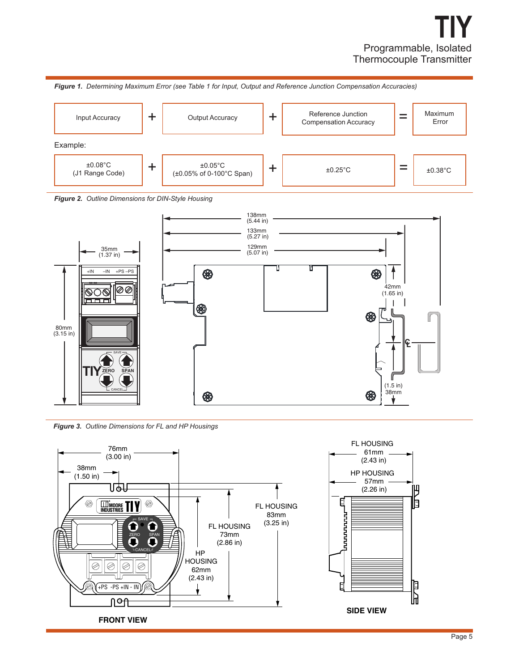





*Figure 3. Outline Dimensions for FL and HP Housings*